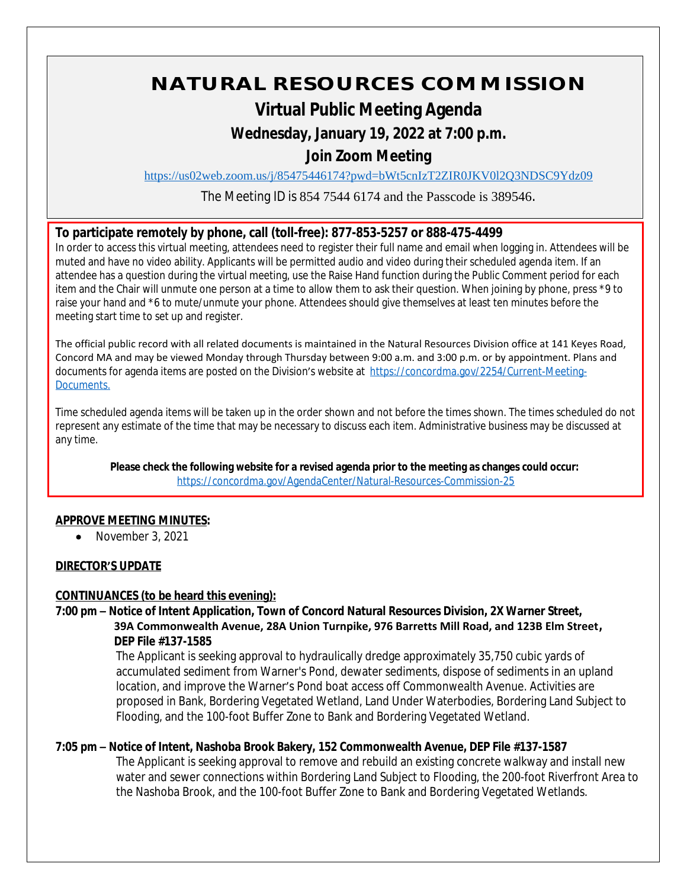# **NATURAL RESOURCES COMMISSION**

## **Virtual Public Meeting Agenda**

### **Wednesday, January 19, 2022 at 7:00 p.m.**

## **Join Zoom Meeting**

<https://us02web.zoom.us/j/85475446174?pwd=bWt5cnIzT2ZIR0JKV0l2Q3NDSC9Ydz09>

The Meeting ID is 854 7544 6174 and the Passcode is 389546.

#### **To participate remotely by phone, call (toll-free): 877-853-5257 or 888-475-4499**

In order to access this virtual meeting, attendees need to register their full name and email when logging in. Attendees will be muted and have no video ability. Applicants will be permitted audio and video during their scheduled agenda item. If an attendee has a question during the virtual meeting, use the Raise Hand function during the Public Comment period for each item and the Chair will unmute one person at a time to allow them to ask their question. When joining by phone, press \*9 to raise your hand and \*6 to mute/unmute your phone. Attendees should give themselves at least ten minutes before the meeting start time to set up and register.

The official public record with all related documents is maintained in the Natural Resources Division office at 141 Keyes Road, Concord MA and may be viewed Monday through Thursday between 9:00 a.m. and 3:00 p.m. or by appointment. Plans and documents for agenda items are posted on the Division's website at [https://concordma.gov/2254/Current-Meeting-](https://concordma.gov/2254/Current-Meeting-Documents)Documents.

Time scheduled agenda items will be taken up in the order shown and not before the times shown. The times scheduled do not represent any estimate of the time that may be necessary to discuss each item. Administrative business may be discussed at any time.

**Please check the following website for a revised agenda prior to the meeting as changes could occur:**  <https://concordma.gov/AgendaCenter/Natural-Resources-Commission-25>

#### **APPROVE MEETING MINUTES:**

• November 3, 2021

#### **DIRECTOR'S UPDATE**

#### **CONTINUANCES (to be heard this evening):**

**7:00 pm – Notice of Intent Application, Town of Concord Natural Resources Division, 2X Warner Street, 39A Commonwealth Avenue, 28A Union Turnpike, 976 Barretts Mill Road, and 123B Elm Street, DEP File #137-1585**

> The Applicant is seeking approval to hydraulically dredge approximately 35,750 cubic yards of accumulated sediment from Warner's Pond, dewater sediments, dispose of sediments in an upland location, and improve the Warner's Pond boat access off Commonwealth Avenue. Activities are proposed in Bank, Bordering Vegetated Wetland, Land Under Waterbodies, Bordering Land Subject to Flooding, and the 100-foot Buffer Zone to Bank and Bordering Vegetated Wetland.

#### **7:05 pm – Notice of Intent, Nashoba Brook Bakery, 152 Commonwealth Avenue, DEP File #137-1587**

The Applicant is seeking approval to remove and rebuild an existing concrete walkway and install new water and sewer connections within Bordering Land Subject to Flooding, the 200-foot Riverfront Area to the Nashoba Brook, and the 100-foot Buffer Zone to Bank and Bordering Vegetated Wetlands.